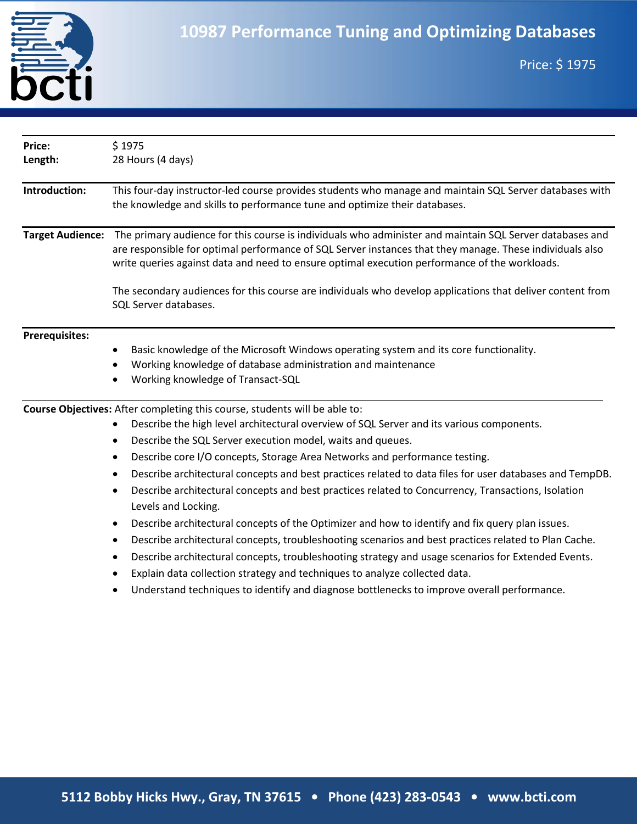

| Length:<br>Introduction:                         | 28 Hours (4 days)<br>This four-day instructor-led course provides students who manage and maintain SQL Server databases with<br>the knowledge and skills to performance tune and optimize their databases.<br>The primary audience for this course is individuals who administer and maintain SQL Server databases and<br>are responsible for optimal performance of SQL Server instances that they manage. These individuals also<br>write queries against data and need to ensure optimal execution performance of the workloads.<br>The secondary audiences for this course are individuals who develop applications that deliver content from<br>SQL Server databases.<br>Basic knowledge of the Microsoft Windows operating system and its core functionality.<br>Working knowledge of database administration and maintenance<br>Working knowledge of Transact-SQL |
|--------------------------------------------------|--------------------------------------------------------------------------------------------------------------------------------------------------------------------------------------------------------------------------------------------------------------------------------------------------------------------------------------------------------------------------------------------------------------------------------------------------------------------------------------------------------------------------------------------------------------------------------------------------------------------------------------------------------------------------------------------------------------------------------------------------------------------------------------------------------------------------------------------------------------------------|
|                                                  |                                                                                                                                                                                                                                                                                                                                                                                                                                                                                                                                                                                                                                                                                                                                                                                                                                                                          |
| <b>Target Audience:</b><br><b>Prerequisites:</b> |                                                                                                                                                                                                                                                                                                                                                                                                                                                                                                                                                                                                                                                                                                                                                                                                                                                                          |
|                                                  |                                                                                                                                                                                                                                                                                                                                                                                                                                                                                                                                                                                                                                                                                                                                                                                                                                                                          |
|                                                  |                                                                                                                                                                                                                                                                                                                                                                                                                                                                                                                                                                                                                                                                                                                                                                                                                                                                          |
|                                                  |                                                                                                                                                                                                                                                                                                                                                                                                                                                                                                                                                                                                                                                                                                                                                                                                                                                                          |
|                                                  | Course Objectives: After completing this course, students will be able to:                                                                                                                                                                                                                                                                                                                                                                                                                                                                                                                                                                                                                                                                                                                                                                                               |
|                                                  | Describe the high level architectural overview of SQL Server and its various components.                                                                                                                                                                                                                                                                                                                                                                                                                                                                                                                                                                                                                                                                                                                                                                                 |
| $\bullet$                                        | Describe the SQL Server execution model, waits and queues.                                                                                                                                                                                                                                                                                                                                                                                                                                                                                                                                                                                                                                                                                                                                                                                                               |
| $\bullet$                                        | Describe core I/O concepts, Storage Area Networks and performance testing.                                                                                                                                                                                                                                                                                                                                                                                                                                                                                                                                                                                                                                                                                                                                                                                               |
|                                                  | Describe architectural concepts and best practices related to data files for user databases and TempDB.<br>Describe architectural concepts and best practices related to Concurrency, Transactions, Isolation<br>Levels and Locking.                                                                                                                                                                                                                                                                                                                                                                                                                                                                                                                                                                                                                                     |
|                                                  | Describe architectural concepts of the Optimizer and how to identify and fix query plan issues.                                                                                                                                                                                                                                                                                                                                                                                                                                                                                                                                                                                                                                                                                                                                                                          |
| $\bullet$                                        | Describe architectural concepts, troubleshooting scenarios and best practices related to Plan Cache.                                                                                                                                                                                                                                                                                                                                                                                                                                                                                                                                                                                                                                                                                                                                                                     |
| $\bullet$                                        | Describe architectural concepts, troubleshooting strategy and usage scenarios for Extended Events.                                                                                                                                                                                                                                                                                                                                                                                                                                                                                                                                                                                                                                                                                                                                                                       |
|                                                  | Explain data collection strategy and techniques to analyze collected data.                                                                                                                                                                                                                                                                                                                                                                                                                                                                                                                                                                                                                                                                                                                                                                                               |
|                                                  | Understand techniques to identify and diagnose bottlenecks to improve overall performance.                                                                                                                                                                                                                                                                                                                                                                                                                                                                                                                                                                                                                                                                                                                                                                               |